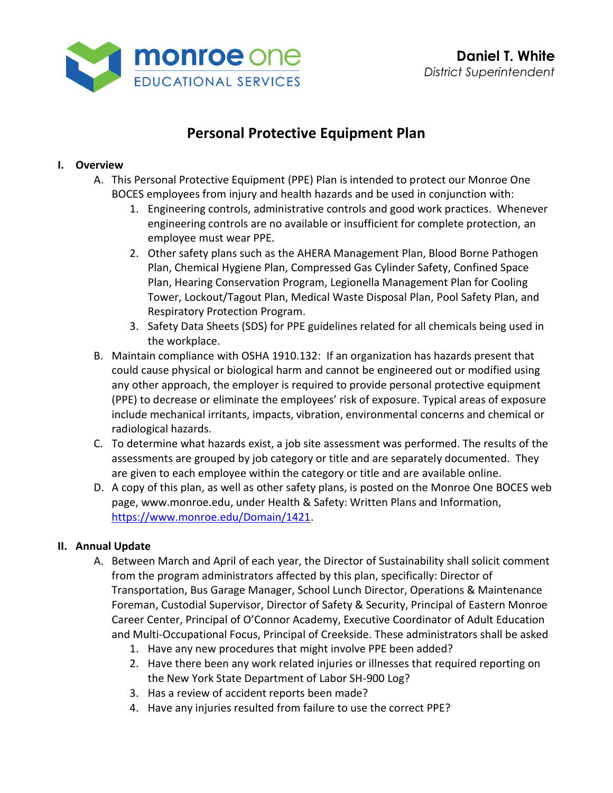

# **Personal Protective Equipment Plan**

### **I. Overview**

- A. This Personal Protective Equipment (PPE) Plan is intended to protect our Monroe One BOCES employees from injury and health hazards and be used in conjunction with:
	- 1. Engineering controls, administrative controls and good work practices. Whenever engineering controls are no available or insufficient for complete protection, an employee must wear PPE.
	- 2. Other safety plans such as the AHERA Management Plan, Blood Borne Pathogen Plan, Chemical Hygiene Plan, Compressed Gas Cylinder Safety, Confined Space Plan, Hearing Conservation Program, Legionella Management Plan for Cooling Tower, Lockout/Tagout Plan, Medical Waste Disposal Plan, Pool Safety Plan, and Respiratory Protection Program.
	- 3. Safety Data Sheets (SDS) for PPE guidelines related for all chemicals being used in the workplace.
- B. Maintain compliance with OSHA 1910.132: If an organization has hazards present that could cause physical or biological harm and cannot be engineered out or modified using any other approach, the employer is required to provide personal protective equipment (PPE) to decrease or eliminate the employees' risk of exposure. Typical areas of exposure include mechanical irritants, impacts, vibration, environmental concerns and chemical or radiological hazards.
- C. To determine what hazards exist, a job site assessment was performed. The results of the assessments are grouped by job category or title and are separately documented. They are given to each employee within the category or title and are available online.
- D. A copy of this plan, as well as other safety plans, is posted on the Monroe One BOCES web page, [www.monroe.edu,](http://www.monroe.edu/) under Health & Safety: Written Plans and Information, [https://www.monroe.edu/Domain/1421.](https://www.monroe.edu/Domain/1421)

#### **II. Annual Update**

- A. Between March and April of each year, the Director of Sustainability shall solicit comment from the program administrators affected by this plan, specifically: Director of Transportation, Bus Garage Manager, School Lunch Director, Operations & Maintenance Foreman, Custodial Supervisor, Director of Safety & Security, Principal of Eastern Monroe Career Center, Principal of O'Connor Academy, Executive Coordinator of Adult Education and Multi-Occupational Focus, Principal of Creekside. These administrators shall be asked
	- 1. Have any new procedures that might involve PPE been added?
	- 2. Have there been any work related injuries or illnesses that required reporting on the New York State Department of Labor SH-900 Log?
	- 3. Has a review of accident reports been made?
	- 4. Have any injuries resulted from failure to use the correct PPE?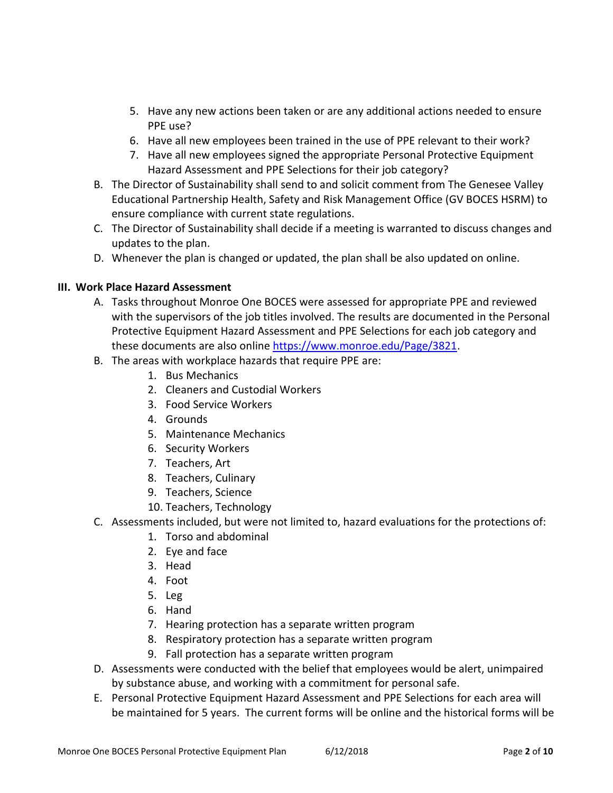- 5. Have any new actions been taken or are any additional actions needed to ensure PPE use?
- 6. Have all new employees been trained in the use of PPE relevant to their work?
- 7. Have all new employees signed the appropriate Personal Protective Equipment Hazard Assessment and PPE Selections for their job category?
- B. The Director of Sustainability shall send to and solicit comment from The Genesee Valley Educational Partnership Health, Safety and Risk Management Office (GV BOCES HSRM) to ensure compliance with current state regulations.
- C. The Director of Sustainability shall decide if a meeting is warranted to discuss changes and updates to the plan.
- D. Whenever the plan is changed or updated, the plan shall be also updated on online.

### **III. Work Place Hazard Assessment**

- A. Tasks throughout Monroe One BOCES were assessed for appropriate PPE and reviewed with the supervisors of the job titles involved. The results are documented in the Personal Protective Equipment Hazard Assessment and PPE Selections for each job category and these documents are also online [https://www.monroe.edu/Page/3821.](https://www.monroe.edu/Page/3821)
- B. The areas with workplace hazards that require PPE are:
	- 1. Bus Mechanics
	- 2. Cleaners and Custodial Workers
	- 3. Food Service Workers
	- 4. Grounds
	- 5. Maintenance Mechanics
	- 6. Security Workers
	- 7. Teachers, Art
	- 8. Teachers, Culinary
	- 9. Teachers, Science
	- 10. Teachers, Technology
- C. Assessments included, but were not limited to, hazard evaluations for the protections of:
	- 1. Torso and abdominal
	- 2. Eye and face
	- 3. Head
	- 4. Foot
	- 5. Leg
	- 6. Hand
	- 7. Hearing protection has a separate written program
	- 8. Respiratory protection has a separate written program
	- 9. Fall protection has a separate written program
- D. Assessments were conducted with the belief that employees would be alert, unimpaired by substance abuse, and working with a commitment for personal safe.
- E. Personal Protective Equipment Hazard Assessment and PPE Selections for each area will be maintained for 5 years. The current forms will be online and the historical forms will be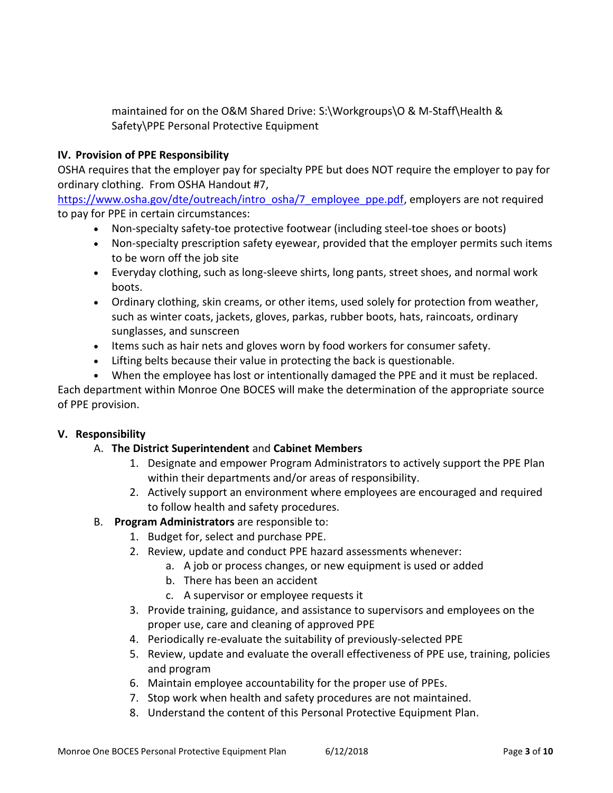maintained for on the O&M Shared Drive: S:\Workgroups\O & M-Staff\Health & Safety\PPE Personal Protective Equipment

## **IV. Provision of PPE Responsibility**

OSHA requires that the employer pay for specialty PPE but does NOT require the employer to pay for ordinary clothing. From OSHA Handout #7,

[https://www.osha.gov/dte/outreach/intro\\_osha/7\\_employee\\_ppe.pdf,](https://www.osha.gov/dte/outreach/intro_osha/7_employee_ppe.pdf) employers are not required to pay for PPE in certain circumstances:

- Non-specialty safety-toe protective footwear (including steel-toe shoes or boots)
- Non-specialty prescription safety eyewear, provided that the employer permits such items to be worn off the job site
- Everyday clothing, such as long-sleeve shirts, long pants, street shoes, and normal work boots.
- Ordinary clothing, skin creams, or other items, used solely for protection from weather, such as winter coats, jackets, gloves, parkas, rubber boots, hats, raincoats, ordinary sunglasses, and sunscreen
- Items such as hair nets and gloves worn by food workers for consumer safety.
- Lifting belts because their value in protecting the back is questionable.
- When the employee has lost or intentionally damaged the PPE and it must be replaced.

Each department within Monroe One BOCES will make the determination of the appropriate source of PPE provision.

# **V. Responsibility**

# A. **The District Superintendent** and **Cabinet Members**

- 1. Designate and empower Program Administrators to actively support the PPE Plan within their departments and/or areas of responsibility.
- 2. Actively support an environment where employees are encouraged and required to follow health and safety procedures.
- B. **Program Administrators** are responsible to:
	- 1. Budget for, select and purchase PPE.
	- 2. Review, update and conduct PPE hazard assessments whenever:
		- a. A job or process changes, or new equipment is used or added
		- b. There has been an accident
		- c. A supervisor or employee requests it
	- 3. Provide training, guidance, and assistance to supervisors and employees on the proper use, care and cleaning of approved PPE
	- 4. Periodically re-evaluate the suitability of previously-selected PPE
	- 5. Review, update and evaluate the overall effectiveness of PPE use, training, policies and program
	- 6. Maintain employee accountability for the proper use of PPEs.
	- 7. Stop work when health and safety procedures are not maintained.
	- 8. Understand the content of this Personal Protective Equipment Plan.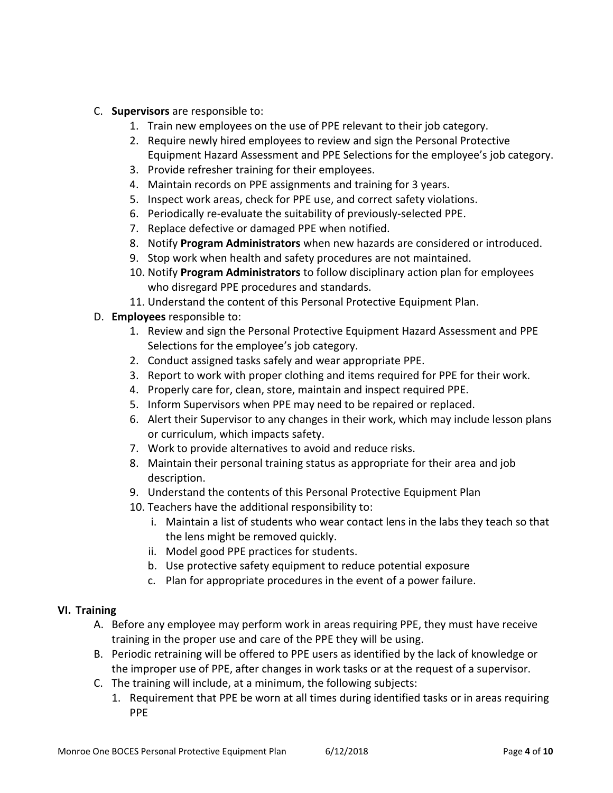- C. **Supervisors** are responsible to:
	- 1. Train new employees on the use of PPE relevant to their job category.
	- 2. Require newly hired employees to review and sign the Personal Protective Equipment Hazard Assessment and PPE Selections for the employee's job category.
	- 3. Provide refresher training for their employees.
	- 4. Maintain records on PPE assignments and training for 3 years.
	- 5. Inspect work areas, check for PPE use, and correct safety violations.
	- 6. Periodically re-evaluate the suitability of previously-selected PPE.
	- 7. Replace defective or damaged PPE when notified.
	- 8. Notify **Program Administrators** when new hazards are considered or introduced.
	- 9. Stop work when health and safety procedures are not maintained.
	- 10. Notify **Program Administrators** to follow disciplinary action plan for employees who disregard PPE procedures and standards.
	- 11. Understand the content of this Personal Protective Equipment Plan.
- D. **Employees** responsible to:
	- 1. Review and sign the Personal Protective Equipment Hazard Assessment and PPE Selections for the employee's job category.
	- 2. Conduct assigned tasks safely and wear appropriate PPE.
	- 3. Report to work with proper clothing and items required for PPE for their work.
	- 4. Properly care for, clean, store, maintain and inspect required PPE.
	- 5. Inform Supervisors when PPE may need to be repaired or replaced.
	- 6. Alert their Supervisor to any changes in their work, which may include lesson plans or curriculum, which impacts safety.
	- 7. Work to provide alternatives to avoid and reduce risks.
	- 8. Maintain their personal training status as appropriate for their area and job description.
	- 9. Understand the contents of this Personal Protective Equipment Plan
	- 10. Teachers have the additional responsibility to:
		- i. Maintain a list of students who wear contact lens in the labs they teach so that the lens might be removed quickly.
		- ii. Model good PPE practices for students.
		- b. Use protective safety equipment to reduce potential exposure
		- c. Plan for appropriate procedures in the event of a power failure.

#### **VI. Training**

- A. Before any employee may perform work in areas requiring PPE, they must have receive training in the proper use and care of the PPE they will be using.
- B. Periodic retraining will be offered to PPE users as identified by the lack of knowledge or the improper use of PPE, after changes in work tasks or at the request of a supervisor.
- C. The training will include, at a minimum, the following subjects:
	- 1. Requirement that PPE be worn at all times during identified tasks or in areas requiring PPE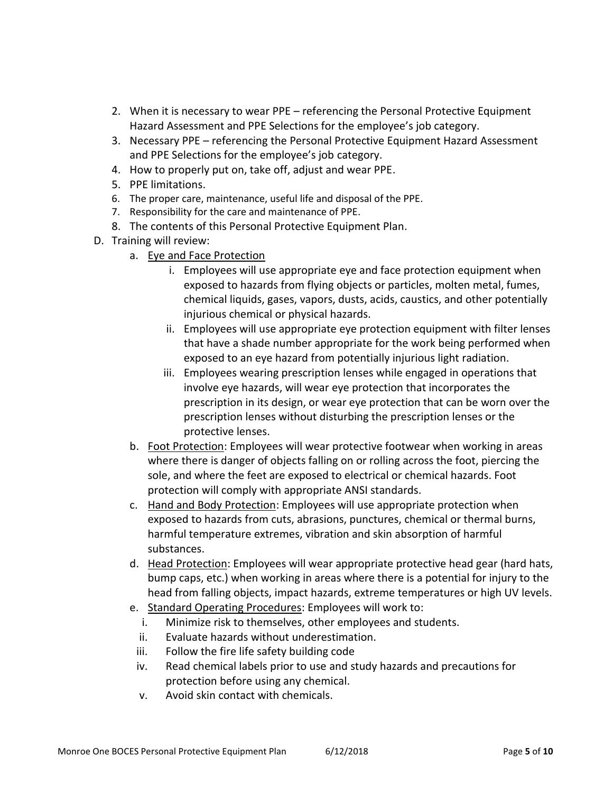- 2. When it is necessary to wear PPE referencing the Personal Protective Equipment Hazard Assessment and PPE Selections for the employee's job category.
- 3. Necessary PPE referencing the Personal Protective Equipment Hazard Assessment and PPE Selections for the employee's job category.
- 4. How to properly put on, take off, adjust and wear PPE.
- 5. PPE limitations.
- 6. The proper care, maintenance, useful life and disposal of the PPE.
- 7. Responsibility for the care and maintenance of PPE.
- 8. The contents of this Personal Protective Equipment Plan.
- D. Training will review:
	- a. Eye and Face Protection
		- i. Employees will use appropriate eye and face protection equipment when exposed to hazards from flying objects or particles, molten metal, fumes, chemical liquids, gases, vapors, dusts, acids, caustics, and other potentially injurious chemical or physical hazards.
		- ii. Employees will use appropriate eye protection equipment with filter lenses that have a shade number appropriate for the work being performed when exposed to an eye hazard from potentially injurious light radiation.
		- iii. Employees wearing prescription lenses while engaged in operations that involve eye hazards, will wear eye protection that incorporates the prescription in its design, or wear eye protection that can be worn over the prescription lenses without disturbing the prescription lenses or the protective lenses.
	- b. Foot Protection: Employees will wear protective footwear when working in areas where there is danger of objects falling on or rolling across the foot, piercing the sole, and where the feet are exposed to electrical or chemical hazards. Foot protection will comply with appropriate ANSI standards.
	- c. Hand and Body Protection: Employees will use appropriate protection when exposed to hazards from cuts, abrasions, punctures, chemical or thermal burns, harmful temperature extremes, vibration and skin absorption of harmful substances.
	- d. Head Protection: Employees will wear appropriate protective head gear (hard hats, bump caps, etc.) when working in areas where there is a potential for injury to the head from falling objects, impact hazards, extreme temperatures or high UV levels.
	- e. Standard Operating Procedures: Employees will work to:
		- i. Minimize risk to themselves, other employees and students.
		- ii. Evaluate hazards without underestimation.
	- iii. Follow the fire life safety building code
	- iv. Read chemical labels prior to use and study hazards and precautions for protection before using any chemical.
	- v. Avoid skin contact with chemicals.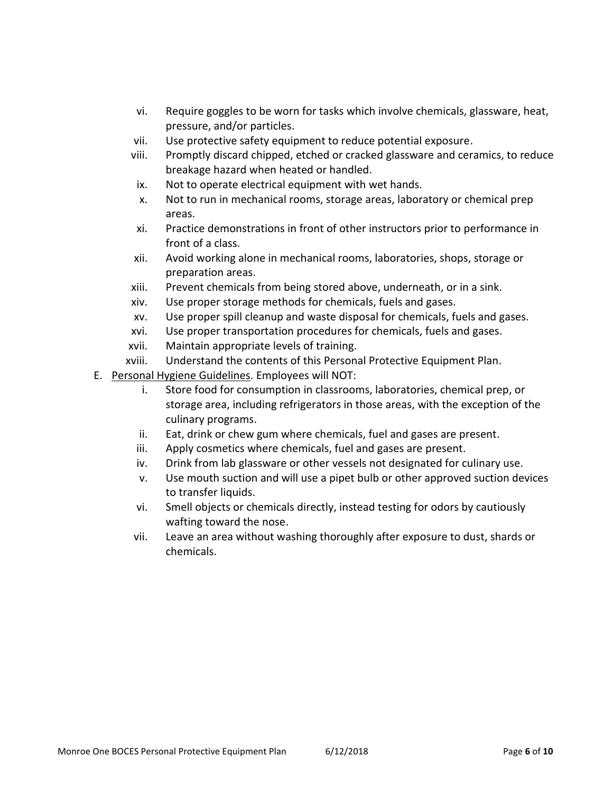- vi. Require goggles to be worn for tasks which involve chemicals, glassware, heat, pressure, and/or particles.
- vii. Use protective safety equipment to reduce potential exposure.
- viii. Promptly discard chipped, etched or cracked glassware and ceramics, to reduce breakage hazard when heated or handled.
- ix. Not to operate electrical equipment with wet hands.
- x. Not to run in mechanical rooms, storage areas, laboratory or chemical prep areas.
- xi. Practice demonstrations in front of other instructors prior to performance in front of a class.
- xii. Avoid working alone in mechanical rooms, laboratories, shops, storage or preparation areas.
- xiii. Prevent chemicals from being stored above, underneath, or in a sink.
- xiv. Use proper storage methods for chemicals, fuels and gases.
- xv. Use proper spill cleanup and waste disposal for chemicals, fuels and gases.
- xvi. Use proper transportation procedures for chemicals, fuels and gases.
- xvii. Maintain appropriate levels of training.
- xviii. Understand the contents of this Personal Protective Equipment Plan.
- E. Personal Hygiene Guidelines. Employees will NOT:
	- i. Store food for consumption in classrooms, laboratories, chemical prep, or storage area, including refrigerators in those areas, with the exception of the culinary programs.
	- ii. Eat, drink or chew gum where chemicals, fuel and gases are present.
	- iii. Apply cosmetics where chemicals, fuel and gases are present.
	- iv. Drink from lab glassware or other vessels not designated for culinary use.
	- v. Use mouth suction and will use a pipet bulb or other approved suction devices to transfer liquids.
	- vi. Smell objects or chemicals directly, instead testing for odors by cautiously wafting toward the nose.
	- vii. Leave an area without washing thoroughly after exposure to dust, shards or chemicals.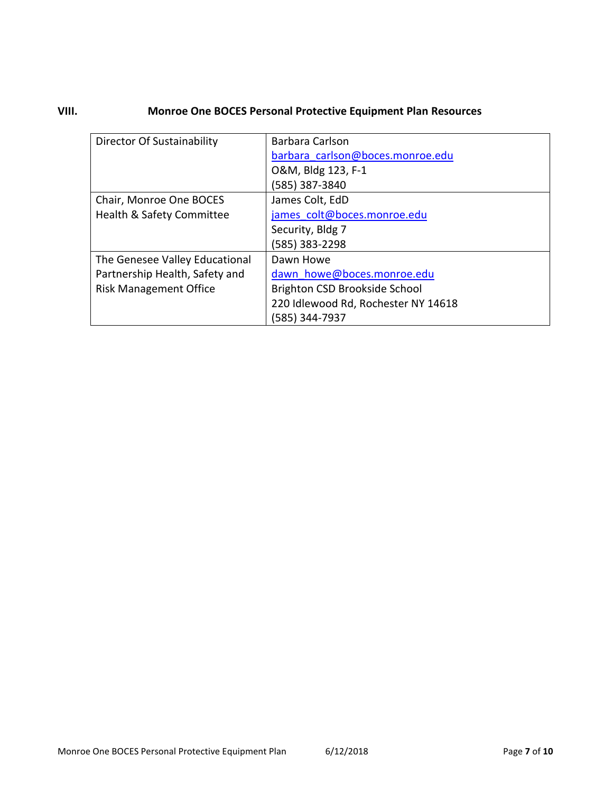# **VIII. Monroe One BOCES Personal Protective Equipment Plan Resources**

| <b>Director Of Sustainability</b> | Barbara Carlson                     |  |
|-----------------------------------|-------------------------------------|--|
|                                   | barbara carlson@boces.monroe.edu    |  |
|                                   | O&M, Bldg 123, F-1                  |  |
|                                   | (585) 387-3840                      |  |
| Chair, Monroe One BOCES           | James Colt, EdD                     |  |
| Health & Safety Committee         | james colt@boces.monroe.edu         |  |
|                                   | Security, Bldg 7                    |  |
|                                   | (585) 383-2298                      |  |
| The Genesee Valley Educational    | Dawn Howe                           |  |
| Partnership Health, Safety and    | dawn howe@boces.monroe.edu          |  |
| <b>Risk Management Office</b>     | Brighton CSD Brookside School       |  |
|                                   | 220 Idlewood Rd, Rochester NY 14618 |  |
|                                   | (585) 344-7937                      |  |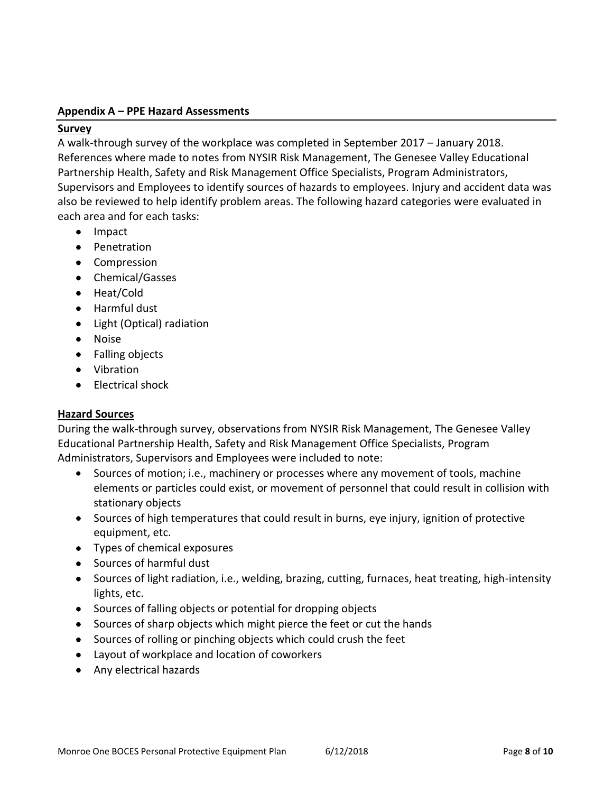#### **Appendix A – PPE Hazard Assessments**

#### **Survey**

A walk-through survey of the workplace was completed in September 2017 – January 2018. References where made to notes from NYSIR Risk Management, The Genesee Valley Educational Partnership Health, Safety and Risk Management Office Specialists, Program Administrators, Supervisors and Employees to identify sources of hazards to employees. Injury and accident data was also be reviewed to help identify problem areas. The following hazard categories were evaluated in each area and for each tasks:

- Impact
- Penetration
- Compression
- Chemical/Gasses
- Heat/Cold
- Harmful dust
- Light (Optical) radiation
- Noise
- Falling objects
- Vibration
- Electrical shock

# **Hazard Sources**

During the walk-through survey, observations from NYSIR Risk Management, The Genesee Valley Educational Partnership Health, Safety and Risk Management Office Specialists, Program Administrators, Supervisors and Employees were included to note:

- Sources of motion; i.e., machinery or processes where any movement of tools, machine elements or particles could exist, or movement of personnel that could result in collision with stationary objects
- Sources of high temperatures that could result in burns, eye injury, ignition of protective equipment, etc.
- Types of chemical exposures
- Sources of harmful dust
- Sources of light radiation, i.e., welding, brazing, cutting, furnaces, heat treating, high-intensity lights, etc.
- Sources of falling objects or potential for dropping objects
- Sources of sharp objects which might pierce the feet or cut the hands
- Sources of rolling or pinching objects which could crush the feet
- Layout of workplace and location of coworkers
- Any electrical hazards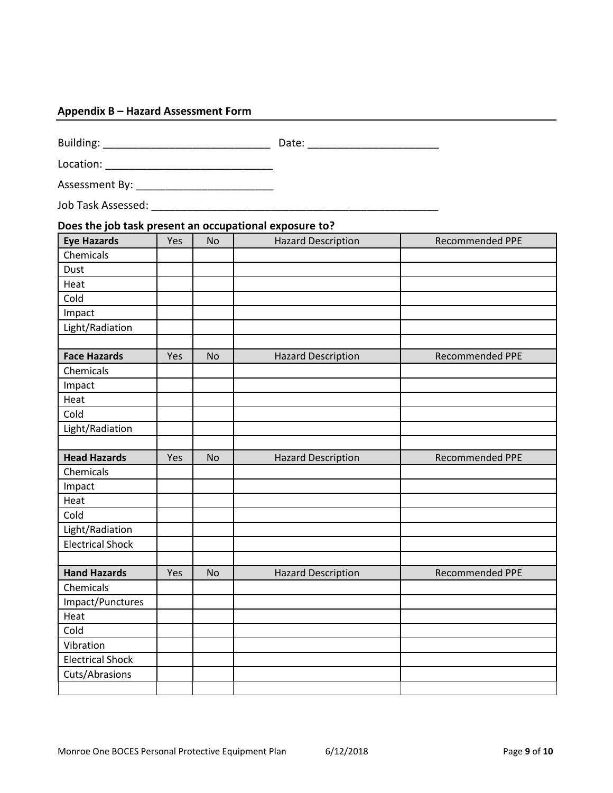### **Appendix B – Hazard Assessment Form**

Building: \_\_\_\_\_\_\_\_\_\_\_\_\_\_\_\_\_\_\_\_\_\_\_\_\_\_\_\_ Date: \_\_\_\_\_\_\_\_\_\_\_\_\_\_\_\_\_\_\_\_\_\_

Location: \_\_\_\_\_\_\_\_\_\_\_\_\_\_\_\_\_\_\_\_\_\_\_\_\_\_\_\_

Assessment By: \_\_\_\_\_\_\_\_\_\_\_\_\_\_\_\_\_\_\_\_\_\_\_

Job Task Assessed: \_\_\_\_\_\_\_\_\_\_\_\_\_\_\_\_\_\_\_\_\_\_\_\_\_\_\_\_\_\_\_\_\_\_\_\_\_\_\_\_\_\_\_\_\_\_\_\_

| <b>Eye Hazards</b>      | Yes | <b>No</b> | <b>Hazard Description</b> | <b>Recommended PPE</b> |
|-------------------------|-----|-----------|---------------------------|------------------------|
| Chemicals               |     |           |                           |                        |
| Dust                    |     |           |                           |                        |
| Heat                    |     |           |                           |                        |
| Cold                    |     |           |                           |                        |
| Impact                  |     |           |                           |                        |
| Light/Radiation         |     |           |                           |                        |
| <b>Face Hazards</b>     | Yes | <b>No</b> | <b>Hazard Description</b> | <b>Recommended PPE</b> |
| Chemicals               |     |           |                           |                        |
| Impact                  |     |           |                           |                        |
| Heat                    |     |           |                           |                        |
| Cold                    |     |           |                           |                        |
| Light/Radiation         |     |           |                           |                        |
| <b>Head Hazards</b>     | Yes | <b>No</b> | <b>Hazard Description</b> | <b>Recommended PPE</b> |
| Chemicals               |     |           |                           |                        |
| Impact                  |     |           |                           |                        |
| Heat                    |     |           |                           |                        |
| Cold                    |     |           |                           |                        |
| Light/Radiation         |     |           |                           |                        |
| <b>Electrical Shock</b> |     |           |                           |                        |
| <b>Hand Hazards</b>     | Yes | <b>No</b> | <b>Hazard Description</b> | <b>Recommended PPE</b> |
| Chemicals               |     |           |                           |                        |
| Impact/Punctures        |     |           |                           |                        |
| Heat                    |     |           |                           |                        |
| Cold                    |     |           |                           |                        |
| Vibration               |     |           |                           |                        |
| <b>Electrical Shock</b> |     |           |                           |                        |
| Cuts/Abrasions          |     |           |                           |                        |
|                         |     |           |                           |                        |

# **Does the job task present an occupational exposure to?**